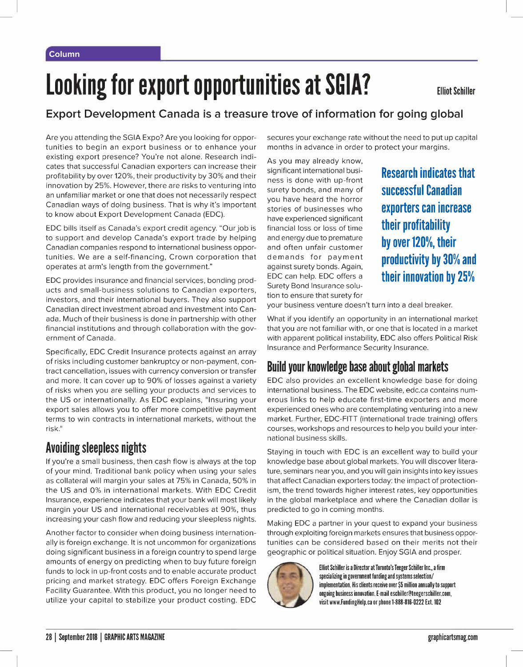# **Looking for export opportunities at SGIA?**

### **Export Development Canada is a treasure trove of information for going global**

Are you attending the SGIA Expo? Are you looking for opportunities to begin an export business or to enhance your existing export presence? You're not alone. Research indicates that successful Canadian exporters can increase their profitability by over 120%, their productivity by 30% and their innovation by 25%. However, there are risks to venturing into an unfamiliar market or one that does not necessarily respect Canadian ways of doing business. That is why it's important to know about Export Development Canada (EDC).

EDC bills itself as Canada's export credit agency. "Our job is to support and develop Canada's export trade by helping Canadian companies respond to international business opportunities. We are a self-financing, Crown corporation that operates at arm's length from the government."

EDC provides insurance and financial services, bonding products and small-business solutions to Canadian exporters, investors, and their international buyers. They also support Canadian direct investment abroad and investment into Canada. Much of their business is done in partnership with other financial institutions and through collaboration with the government of Canada.

Specifically, EDC Credit Insurance protects against an array of risks including customer bankruptcy or non-payment, contract cancellation, issues with currency conversion or transfer and more. It can cover up to 90% of losses against a variety of risks when you are selling your products and services to the US or internationally. As EDC explains, "Insuring your export sales allows you to offer more competitive payment terms to win contracts in international markets, without the risk."

### **Avoiding sleepless nights**

If you're a small business, then cash flow is always at the top of your mind. Traditional bank policy when using your sales as collateral will margin your sales at 75% in Canada, 50% in the US and 0% in international markets. With EDC Credit Insurance, experience indicates that your bank will most likely margin your US and international receivables at 90%, thus increasing your cash flow and reducing your sleepless nights.

Another factor to consider when doing business internationally is foreign exchange. It is not uncommon for organizations doing significant business in a foreign country to spend large amounts of energy on predicting when to buy future foreign funds to lock in up-front costs and to enable accurate product pricing and market strategy. EDC offers Foreign Exchange Facility Guarantee. With this product, you no longer need to utilize your capital to stabilize your product costing. EDC secures your exchange rate without the need to put up capital months in advance in order to protect your margins.

As you may already know, significant international business is done with up-front surety bonds, and many of you have heard the horror stories of businesses who have experienced significant financial loss or loss of time and energy due to premature and often unfair customer demands for payment against surety bonds. Again, EDC can help. EDC offers a Surety Bond Insurance solution to ensure that surety for

**Research indicates that successful Canadian exporters can increase their profitability by over 120%, their productivity by 30% and their innovation by 25%** 

your business venture doesn't turn into a deal breaker.

What if you identify an opportunity in an international market that you are not familiar with, or one that is located in a market with apparent political instability, EDC also offers Political Risk Insurance and Performance Security Insurance.

## **Build your knowledge base about global markets**

EDC also provides an excellent knowledge base for doing international business. The EDC website, edc.ca contains numerous links to help educate first-time exporters and more experienced ones who are contemplating venturing into a new market. Further, EDC-FITT (international trade training) offers courses, workshops and resources to help you build your international business skills.

Staying in touch with EDC is an excellent way to build your knowledge base about global markets. You will discover literature, seminars near you, and you will gain insights into key issues that affect Canadian exporters today: the impact of protectionism, the trend towards higher interest rates, key opportunities in the global marketplace and where the Canadian dollar is predicted to go in coming months.

Making EDC a partner in your quest to expand your business through exploiting foreign markets ensures that business opporthrough exploiting foreign markets ensures that business opportunities can be considered based on their merits not their geographic or political situation. Enjoy SGIA and prosper.<br>
Elliot Schiller is a Director at Toronto' geographic or political situation. Enjoy SGIA and prosper.



specializing in government funding and systems selection/ implementation. His clients receive over \$5 million annually to support ongoing business innovation. E-mail eschiller@teegerschiller.com, visit www.FundingHelp.ca or phone 1-888-816-0222 Ext.102